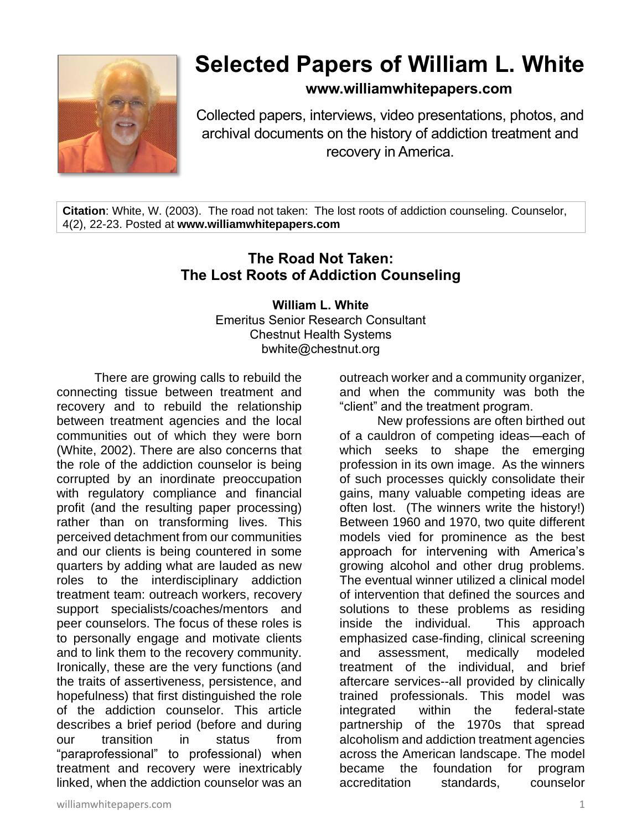

# **Selected Papers of William L. White**

**www.williamwhitepapers.com**

Collected papers, interviews, video presentations, photos, and archival documents on the history of addiction treatment and recovery in America.

**Citation**: White, W. (2003). The road not taken: The lost roots of addiction counseling. Counselor, 4(2), 22-23. Posted at **www.williamwhitepapers.com**

# **The Road Not Taken: The Lost Roots of Addiction Counseling**

**William L. White** Emeritus Senior Research Consultant Chestnut Health Systems bwhite@chestnut.org

There are growing calls to rebuild the connecting tissue between treatment and recovery and to rebuild the relationship between treatment agencies and the local communities out of which they were born (White, 2002). There are also concerns that the role of the addiction counselor is being corrupted by an inordinate preoccupation with regulatory compliance and financial profit (and the resulting paper processing) rather than on transforming lives. This perceived detachment from our communities and our clients is being countered in some quarters by adding what are lauded as new roles to the interdisciplinary addiction treatment team: outreach workers, recovery support specialists/coaches/mentors and peer counselors. The focus of these roles is to personally engage and motivate clients and to link them to the recovery community. Ironically, these are the very functions (and the traits of assertiveness, persistence, and hopefulness) that first distinguished the role of the addiction counselor. This article describes a brief period (before and during our transition in status from "paraprofessional" to professional) when treatment and recovery were inextricably linked, when the addiction counselor was an

outreach worker and a community organizer, and when the community was both the "client" and the treatment program.

New professions are often birthed out of a cauldron of competing ideas—each of which seeks to shape the emerging profession in its own image. As the winners of such processes quickly consolidate their gains, many valuable competing ideas are often lost. (The winners write the history!) Between 1960 and 1970, two quite different models vied for prominence as the best approach for intervening with America's growing alcohol and other drug problems. The eventual winner utilized a clinical model of intervention that defined the sources and solutions to these problems as residing inside the individual. This approach emphasized case-finding, clinical screening and assessment, medically modeled treatment of the individual, and brief aftercare services--all provided by clinically trained professionals. This model was integrated within the federal-state partnership of the 1970s that spread alcoholism and addiction treatment agencies across the American landscape. The model became the foundation for program accreditation standards, counselor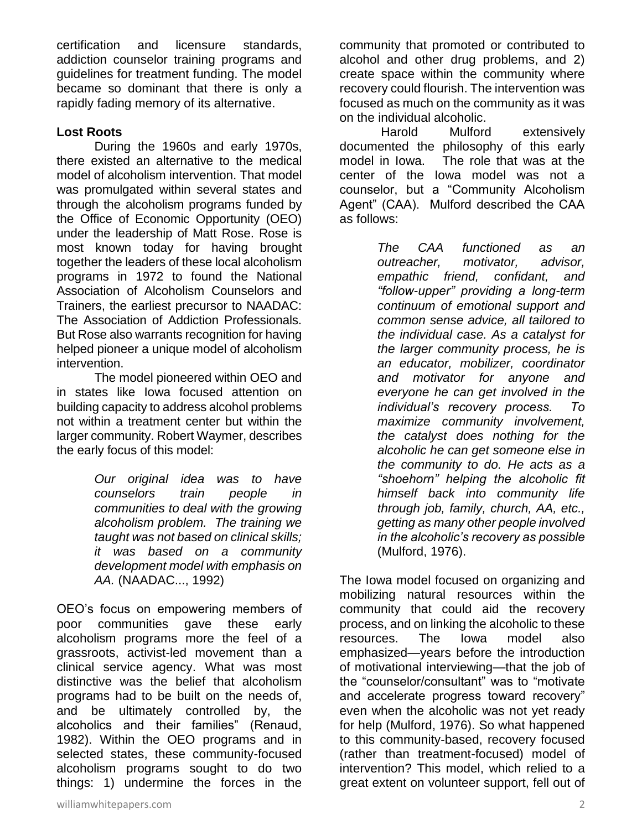certification and licensure standards, addiction counselor training programs and guidelines for treatment funding. The model became so dominant that there is only a rapidly fading memory of its alternative.

## **Lost Roots**

During the 1960s and early 1970s, there existed an alternative to the medical model of alcoholism intervention. That model was promulgated within several states and through the alcoholism programs funded by the Office of Economic Opportunity (OEO) under the leadership of Matt Rose. Rose is most known today for having brought together the leaders of these local alcoholism programs in 1972 to found the National Association of Alcoholism Counselors and Trainers, the earliest precursor to NAADAC: The Association of Addiction Professionals. But Rose also warrants recognition for having helped pioneer a unique model of alcoholism intervention.

The model pioneered within OEO and in states like Iowa focused attention on building capacity to address alcohol problems not within a treatment center but within the larger community. Robert Waymer, describes the early focus of this model:

> *Our original idea was to have counselors train people in communities to deal with the growing alcoholism problem. The training we taught was not based on clinical skills; it was based on a community development model with emphasis on AA.* (NAADAC..., 1992)

OEO's focus on empowering members of poor communities gave these early alcoholism programs more the feel of a grassroots, activist-led movement than a clinical service agency. What was most distinctive was the belief that alcoholism programs had to be built on the needs of, and be ultimately controlled by, the alcoholics and their families" (Renaud, 1982). Within the OEO programs and in selected states, these community-focused alcoholism programs sought to do two things: 1) undermine the forces in the

community that promoted or contributed to alcohol and other drug problems, and 2) create space within the community where recovery could flourish. The intervention was focused as much on the community as it was on the individual alcoholic.

Harold Mulford extensively documented the philosophy of this early model in Iowa. The role that was at the center of the Iowa model was not a counselor, but a "Community Alcoholism Agent" (CAA). Mulford described the CAA as follows:

> *The CAA functioned as an outreacher, motivator, advisor, empathic friend, confidant, and "follow-upper" providing a long-term continuum of emotional support and common sense advice, all tailored to the individual case. As a catalyst for the larger community process, he is an educator, mobilizer, coordinator and motivator for anyone and everyone he can get involved in the individual's recovery process. To maximize community involvement, the catalyst does nothing for the alcoholic he can get someone else in the community to do. He acts as a "shoehorn" helping the alcoholic fit himself back into community life through job, family, church, AA, etc., getting as many other people involved in the alcoholic's recovery as possible* (Mulford, 1976).

The Iowa model focused on organizing and mobilizing natural resources within the community that could aid the recovery process, and on linking the alcoholic to these resources. The Iowa model also emphasized—years before the introduction of motivational interviewing—that the job of the "counselor/consultant" was to "motivate and accelerate progress toward recovery" even when the alcoholic was not yet ready for help (Mulford, 1976). So what happened to this community-based, recovery focused (rather than treatment-focused) model of intervention? This model, which relied to a great extent on volunteer support, fell out of